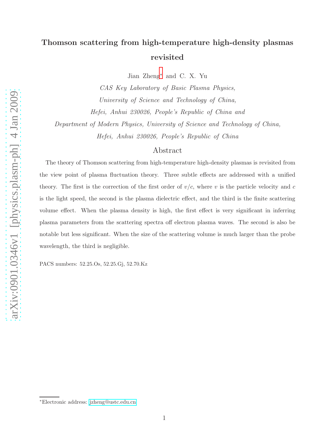# Thomson scattering from high-temperature high-density plasmas revisited

Jian Zheng[∗](#page-0-0) and C. X. Yu

CAS Key Laboratory of Basic Plasma Physics, University of Science and Technology of China, Hefei, Anhui 230026, People's Republic of China and Department of Modern Physics, University of Science and Technology of China, Hefei, Anhui 230026, People's Republic of China

# Abstract

The theory of Thomson scattering from high-temperature high-density plasmas is revisited from the view point of plasma fluctuation theory. Three subtle effects are addressed with a unified theory. The first is the correction of the first order of  $v/c$ , where v is the particle velocity and c is the light speed, the second is the plasma dielectric effect, and the third is the finite scattering volume effect. When the plasma density is high, the first effect is very significant in inferring plasma parameters from the scattering spectra off electron plasma waves. The second is also be notable but less significant. When the size of the scattering volume is much larger than the probe wavelength, the third is negligible.

PACS numbers: 52.25.Os, 52.25.Gj, 52.70.Kz

<span id="page-0-0"></span><sup>∗</sup>Electronic address: [jzheng@ustc.edu.cn](mailto:jzheng@ustc.edu.cn)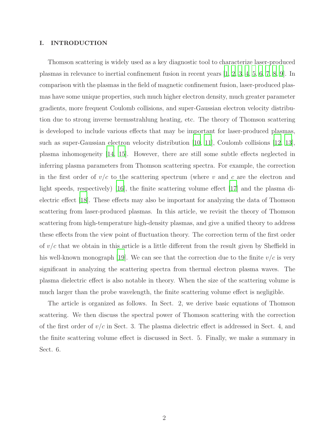## I. INTRODUCTION

Thomson scattering is widely used as a key diagnostic tool to characterize laser-produced plasmas in relevance to inertial confinement fusion in recent years [\[1,](#page-13-0) [2,](#page-13-1) [3,](#page-13-2) [4](#page-14-0), [5,](#page-14-1) [6,](#page-14-2) [7](#page-14-3), [8,](#page-14-4) [9\]](#page-14-5). In comparison with the plasmas in the field of magnetic confinement fusion, laser-produced plasmas have some unique properties, such much higher electron density, much greater parameter gradients, more frequent Coulomb collisions, and super-Gaussian electron velocity distribution due to strong inverse bremsstrahlung heating, etc. The theory of Thomson scattering is developed to include various effects that may be important for laser-produced plasmas, such as super-Gaussian electron velocity distribution [\[10](#page-14-6), [11\]](#page-14-7), Coulomb collisions [\[12](#page-14-8), [13\]](#page-14-9), plasma inhomogeneity [\[14](#page-14-10), [15\]](#page-14-11). However, there are still some subtle effects neglected in inferring plasma parameters from Thomson scattering spectra. For example, the correction in the first order of  $v/c$  to the scattering spectrum (where v and c are the electron and light speeds, respectively) [\[16](#page-14-12)], the finite scattering volume effect [\[17](#page-14-13)] and the plasma dielectric effect [\[18](#page-14-14)]. These effects may also be important for analyzing the data of Thomson scattering from laser-produced plasmas. In this article, we revisit the theory of Thomson scattering from high-temperature high-density plasmas, and give a unified theory to address these effects from the view point of fluctuation theory. The correction term of the first order of  $v/c$  that we obtain in this article is a little different from the result given by Sheffield in his well-known monograph [\[19\]](#page-14-15). We can see that the correction due to the finite  $v/c$  is very significant in analyzing the scattering spectra from thermal electron plasma waves. The plasma dielectric effect is also notable in theory. When the size of the scattering volume is much larger than the probe wavelength, the finite scattering volume effect is negligible.

The article is organized as follows. In Sect. 2, we derive basic equations of Thomson scattering. We then discuss the spectral power of Thomson scattering with the correction of the first order of  $v/c$  in Sect. 3. The plasma dielectric effect is addressed in Sect. 4, and the finite scattering volume effect is discussed in Sect. 5. Finally, we make a summary in Sect. 6.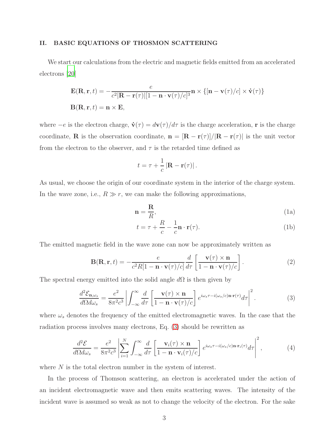#### II. BASIC EQUATIONS OF THOSMON SCATTERING

We start our calculations from the electric and magnetic fields emitted from an accelerated electrons [\[20\]](#page-14-16)

$$
\mathbf{E}(\mathbf{R}, \mathbf{r}, t) = -\frac{e}{c^2 |\mathbf{R} - \mathbf{r}(\tau)| [1 - \mathbf{n} \cdot \mathbf{v}(\tau)/c]^3} \mathbf{n} \times \{ [\mathbf{n} - \mathbf{v}(\tau)/c] \times \dot{\mathbf{v}}(\tau) \}
$$

$$
\mathbf{B}(\mathbf{R}, \mathbf{r}, t) = \mathbf{n} \times \mathbf{E},
$$

where  $-e$  is the electron charge,  $\dot{\mathbf{v}}(\tau) = d\mathbf{v}(\tau)/d\tau$  is the charge acceleration, r is the charge coordinate, **R** is the observation coordinate,  $\mathbf{n} = [\mathbf{R} - \mathbf{r}(\tau)]/|\mathbf{R} - \mathbf{r}(\tau)|$  is the unit vector from the electron to the observer, and  $\tau$  is the retarded time defined as

$$
t = \tau + \frac{1}{c} |\mathbf{R} - \mathbf{r}(\tau)|.
$$

As usual, we choose the origin of our coordinate system in the interior of the charge system. In the wave zone, i.e.,  $R \gg r$ , we can make the following approximations,

$$
\mathbf{n} = \frac{\mathbf{R}}{R},\tag{1a}
$$

$$
t = \tau + \frac{R}{c} - \frac{1}{c}\mathbf{n} \cdot \mathbf{r}(\tau).
$$
 (1b)

The emitted magnetic field in the wave zone can now be approximately written as

$$
\mathbf{B}(\mathbf{R}, \mathbf{r}, t) = -\frac{e}{c^2 R[1 - \mathbf{n} \cdot \mathbf{v}(\tau)/c]} \frac{d}{d\tau} \left[ \frac{\mathbf{v}(\tau) \times \mathbf{n}}{1 - \mathbf{n} \cdot \mathbf{v}(\tau)/c} \right].
$$
 (2)

The spectral energy emitted into the solid angle  $d\Omega$  is then given by

<span id="page-2-0"></span>
$$
\frac{d^2 \mathcal{E}_{\mathbf{n}, \omega_s}}{d\Omega d\omega_s} = \frac{e^2}{8\pi^2 c^3} \left| \int_{-\infty}^{\infty} \frac{d}{d\tau} \left[ \frac{\mathbf{v}(\tau) \times \mathbf{n}}{1 - \mathbf{n} \cdot \mathbf{v}(\tau)/c} \right] e^{i\omega_s \tau - i(\omega_s/c) \mathbf{n} \cdot \mathbf{r}(\tau)} d\tau \right|^2.
$$
 (3)

where  $\omega_s$  denotes the frequency of the emitted electromagnetic waves. In the case that the radiation process involves many electrons, Eq. [\(3\)](#page-2-0) should be rewritten as

<span id="page-2-1"></span>
$$
\frac{d^2 \mathcal{E}}{d\Omega d\omega_s} = \frac{e^2}{8\pi^2 c^3} \left| \sum_{i=1}^N \int_{-\infty}^\infty \frac{d}{d\tau} \left[ \frac{\mathbf{v}_i(\tau) \times \mathbf{n}}{1 - \mathbf{n} \cdot \mathbf{v}_i(\tau)/c} \right] e^{i\omega_s \tau - i(\omega_s/c) \mathbf{n} \cdot \mathbf{r}_i(\tau)} d\tau \right|^2, \tag{4}
$$

where N is the total electron number in the system of interest.

In the process of Thomson scattering, an electron is accelerated under the action of an incident electromagnetic wave and then emits scattering waves. The intensity of the incident wave is assumed so weak as not to change the velocity of the electron. For the sake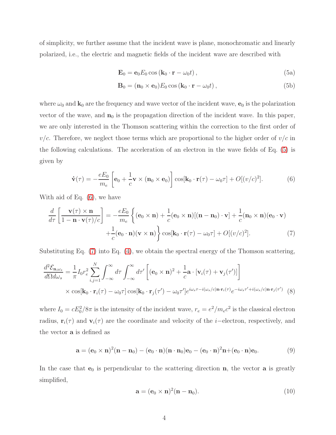of simplicity, we further assume that the incident wave is plane, monochromatic and linearly polarized, i.e., the electric and magnetic fields of the incident wave are described with

<span id="page-3-0"></span>
$$
\mathbf{E}_0 = \mathbf{e}_0 E_0 \cos \left(\mathbf{k}_0 \cdot \mathbf{r} - \omega_0 t\right),\tag{5a}
$$

<span id="page-3-2"></span>
$$
\mathbf{B}_0 = (\mathbf{n}_0 \times \mathbf{e}_0) E_0 \cos(\mathbf{k}_0 \cdot \mathbf{r} - \omega_0 t), \qquad (5b)
$$

where  $\omega_0$  and  $\mathbf{k}_0$  are the frequency and wave vector of the incident wave,  $\mathbf{e}_0$  is the polarization vector of the wave, and  $n_0$  is the propagation direction of the incident wave. In this paper, we are only interested in the Thomson scattering within the correction to the first order of  $v/c$ . Therefore, we neglect those terms which are proportional to the higher order of  $v/c$  in the following calculations. The acceleration of an electron in the wave fields of Eq. [\(5\)](#page-3-0) is given by

<span id="page-3-1"></span>
$$
\dot{\mathbf{v}}(\tau) = -\frac{eE_0}{m_e} \left[ \mathbf{e}_0 + \frac{1}{c} \mathbf{v} \times (\mathbf{n}_0 \times \mathbf{e}_0) \right] \cos[\mathbf{k}_0 \cdot \mathbf{r}(\tau) - \omega_0 \tau] + O[(v/c)^2]. \tag{6}
$$

With aid of Eq. [\(6\)](#page-3-1), we have

$$
\frac{d}{d\tau} \left[ \frac{\mathbf{v}(\tau) \times \mathbf{n}}{1 - \mathbf{n} \cdot \mathbf{v}(\tau)/c} \right] = -\frac{eE_0}{m_e} \left\{ (\mathbf{e}_0 \times \mathbf{n}) + \frac{1}{c} (\mathbf{e}_0 \times \mathbf{n}) [(\mathbf{n} - \mathbf{n}_0) \cdot \mathbf{v}] + \frac{1}{c} (\mathbf{n}_0 \times \mathbf{n}) (\mathbf{e}_0 \cdot \mathbf{v}) + \frac{1}{c} (\mathbf{e}_0 \cdot \mathbf{n}) (\mathbf{v} \times \mathbf{n}) \right\} \cos[\mathbf{k}_0 \cdot \mathbf{r}(\tau) - \omega_0 \tau] + O[(v/c)^2]. \tag{7}
$$

Substituting Eq. [\(7\)](#page-3-2) into Eq. [\(4\)](#page-2-1), we obtain the spectral energy of the Thomson scattering,

$$
\frac{d^2 \mathcal{E}_{\mathbf{n},\omega_s}}{d\Omega d\omega_s} = \frac{1}{\pi} I_0 r_e^2 \sum_{i,j=1}^N \int_{-\infty}^{\infty} d\tau \int_{-\infty}^{\infty} d\tau' \left[ (\mathbf{e}_0 \times \mathbf{n})^2 + \frac{1}{c} \mathbf{a} \cdot [\mathbf{v}_i(\tau) + \mathbf{v}_j(\tau')] \right]
$$
  
 
$$
\times \cos[\mathbf{k}_0 \cdot \mathbf{r}_i(\tau) - \omega_0 \tau] \cos[\mathbf{k}_0 \cdot \mathbf{r}_j(\tau') - \omega_0 \tau'] e^{i\omega_s \tau - i(\omega_s/c) \mathbf{n} \cdot \mathbf{r}_i(\tau)} e^{-i\omega_s \tau' + i(\omega_s/c) \mathbf{n} \cdot \mathbf{r}_j(\tau')} \tag{8}
$$

where  $I_0 = cE_0^2/8\pi$  is the intensity of the incident wave,  $r_e = e^2/m_ec^2$  is the classical electron radius,  $\mathbf{r}_i(\tau)$  and  $\mathbf{v}_i(\tau)$  are the coordinate and velocity of the *i*−electron, respectively, and the vector a is defined as

$$
\mathbf{a} = (\mathbf{e}_0 \times \mathbf{n})^2 (\mathbf{n} - \mathbf{n}_0) - (\mathbf{e}_0 \cdot \mathbf{n}) (\mathbf{n} \cdot \mathbf{n}_0) \mathbf{e}_0 - (\mathbf{e}_0 \cdot \mathbf{n})^2 \mathbf{n} + (\mathbf{e}_0 \cdot \mathbf{n}) \mathbf{e}_0.
$$
 (9)

In the case that  $e_0$  is perpendicular to the scattering direction **n**, the vector **a** is greatly simplified,

<span id="page-3-3"></span>
$$
\mathbf{a} = (\mathbf{e}_0 \times \mathbf{n})^2 (\mathbf{n} - \mathbf{n}_0). \tag{10}
$$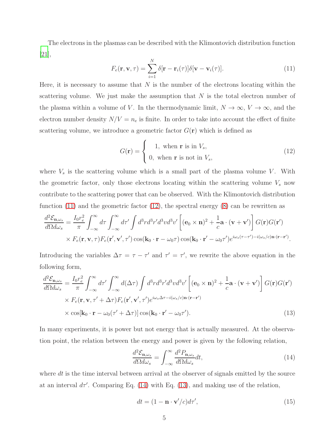The electrons in the plasmas can be described with the Klimontovich distribution function [\[21\]](#page-14-17),

<span id="page-4-0"></span>
$$
F_e(\mathbf{r}, \mathbf{v}, \tau) = \sum_{i=1}^{N} \delta[\mathbf{r} - \mathbf{r}_i(\tau)] \delta[\mathbf{v} - \mathbf{v}_i(\tau)].
$$
\n(11)

Here, it is necessary to assume that  $N$  is the number of the electrons locating within the scattering volume. We just make the assumption that  $N$  is the total electron number of the plasma within a volume of V. In the thermodynamic limit,  $N \to \infty$ ,  $V \to \infty$ , and the electron number density  $N/V = n_e$  is finite. In order to take into account the effect of finite scattering volume, we introduce a geometric factor  $G(\mathbf{r})$  which is defined as

<span id="page-4-1"></span>
$$
G(\mathbf{r}) = \begin{cases} 1, & \text{when } \mathbf{r} \text{ is in } V_s, \\ 0, & \text{when } \mathbf{r} \text{ is not in } V_s, \end{cases} \tag{12}
$$

where  $V_s$  is the scattering volume which is a small part of the plasma volume V. With the geometric factor, only those electrons locating within the scattering volume  $V_s$  now contribute to the scattering power that can be observed. With the Klimontovich distribution function  $(11)$  and the geometric factor  $(12)$ , the spectral energy  $(8)$  can be rewritten as

$$
\frac{d^2 \mathcal{E}_{\mathbf{n},\omega_s}}{d\Omega d\omega_s} = \frac{I_0 r_e^2}{\pi} \int_{-\infty}^{\infty} d\tau \int_{-\infty}^{\infty} d\tau' \int d^3r d^3r' d^3v d^3v' \left[ (\mathbf{e}_0 \times \mathbf{n})^2 + \frac{1}{c} \mathbf{a} \cdot (\mathbf{v} + \mathbf{v}') \right] G(\mathbf{r}) G(\mathbf{r}') \times F_e(\mathbf{r}, \mathbf{v}, \tau) F_e(\mathbf{r}', \mathbf{v}', \tau') \cos(\mathbf{k}_0 \cdot \mathbf{r} - \omega_0 \tau) \cos(\mathbf{k}_0 \cdot \mathbf{r}' - \omega_0 \tau') e^{i\omega_s(\tau - \tau') - i(\omega_s/c) \mathbf{n} \cdot (\mathbf{r} - \mathbf{r}')}.
$$

Introducing the variables  $\Delta \tau = \tau - \tau'$  and  $\tau' = \tau'$ , we rewrite the above equation in the following form,

$$
\frac{d^2 \mathcal{E}_{\mathbf{n},\omega_s}}{d\Omega d\omega_s} = \frac{I_0 r_e^2}{\pi} \int_{-\infty}^{\infty} d\tau' \int_{-\infty}^{\infty} d(\Delta \tau) \int d^3 r d^3 r' d^3 v d^3 v' \left[ (\mathbf{e}_0 \times \mathbf{n})^2 + \frac{1}{c} \mathbf{a} \cdot (\mathbf{v} + \mathbf{v}') \right] G(\mathbf{r}) G(\mathbf{r}') \times F_e(\mathbf{r}, \mathbf{v}, \tau' + \Delta \tau) F_e(\mathbf{r}', \mathbf{v}', \tau') e^{i\omega_s \Delta \tau - i(\omega_s/c) \mathbf{n} \cdot (\mathbf{r} - \mathbf{r}')} \times \cos[\mathbf{k}_0 \cdot \mathbf{r} - \omega_0 (\tau' + \Delta \tau)] \cos(\mathbf{k}_0 \cdot \mathbf{r}' - \omega_0 \tau').
$$
\n(13)

In many experiments, it is power but not energy that is actually measured. At the observation point, the relation between the energy and power is given by the following relation,

<span id="page-4-3"></span><span id="page-4-2"></span>
$$
\frac{d^2 \mathcal{E}_{\mathbf{n}, \omega_s}}{d\Omega d\omega_s} = \int_{-\infty}^{\infty} \frac{d^2 P_{\mathbf{n}, \omega_s}}{d\Omega d\omega_s} dt,
$$
\n(14)

where  $dt$  is the time interval between arrival at the observer of signals emitted by the source at an interval  $d\tau'$ . Comparing Eq. [\(14\)](#page-4-2) with Eq. [\(13\)](#page-4-3), and making use of the relation,

<span id="page-4-4"></span>
$$
dt = (1 - \mathbf{n} \cdot \mathbf{v}' / c) d\tau',\tag{15}
$$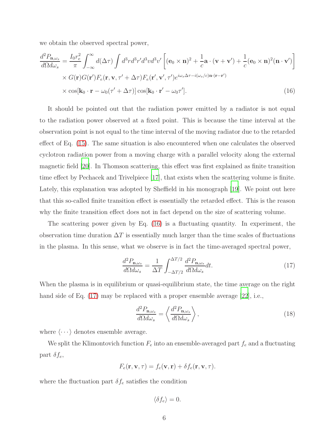we obtain the observed spectral power,

$$
\frac{d^2 P_{\mathbf{n},\omega_s}}{d\Omega d\omega_s} = \frac{I_0 r_e^2}{\pi} \int_{-\infty}^{\infty} d(\Delta \tau) \int d^3 r d^3 r' d^3 v d^3 v' \left[ (\mathbf{e}_0 \times \mathbf{n})^2 + \frac{1}{c} \mathbf{a} \cdot (\mathbf{v} + \mathbf{v}') + \frac{1}{c} (\mathbf{e}_0 \times \mathbf{n})^2 (\mathbf{n} \cdot \mathbf{v}') \right] \times G(\mathbf{r}) G(\mathbf{r}') F_e(\mathbf{r}, \mathbf{v}, \tau' + \Delta \tau) F_e(\mathbf{r}', \mathbf{v}', \tau') e^{i\omega_s \Delta \tau - i(\omega_s/c) \mathbf{n} \cdot (\mathbf{r} - \mathbf{r}')} \times \cos[\mathbf{k}_0 \cdot \mathbf{r} - \omega_0 (\tau' + \Delta \tau)] \cos[\mathbf{k}_0 \cdot \mathbf{r}' - \omega_0 \tau'].
$$
\n(16)

It should be pointed out that the radiation power emitted by a radiator is not equal to the radiation power observed at a fixed point. This is because the time interval at the observation point is not equal to the time interval of the moving radiator due to the retarded effect of Eq. [\(15\)](#page-4-4). The same situation is also encountered when one calculates the observed cyclotron radiation power from a moving charge with a parallel velocity along the external magnetic field [\[20\]](#page-14-16). In Thomson scattering, this effect was first explained as finite transition time effect by Pechacek and Trivelpiece [\[17](#page-14-13)], that exists when the scattering volume is finite. Lately, this explanation was adopted by Sheffield in his monograph [\[19](#page-14-15)]. We point out here that this so-called finite transition effect is essentially the retarded effect. This is the reason why the finite transition effect does not in fact depend on the size of scattering volume.

The scattering power given by Eq. [\(16\)](#page-5-0) is a fluctuating quantity. In experiment, the observation time duration  $\Delta T$  is essentially much larger than the time scales of fluctuations in the plasma. In this sense, what we observe is in fact the time-averaged spectral power,

<span id="page-5-1"></span><span id="page-5-0"></span>
$$
\frac{d^2 P_{\mathbf{n},\omega_s}}{d\Omega d\omega_s} = \frac{1}{\Delta T} \int_{-\Delta T/2}^{\Delta T/2} \frac{d^2 P_{\mathbf{n},\omega_s}}{d\Omega d\omega_s} dt.
$$
\n(17)

When the plasma is in equilibrium or quasi-equilibrium state, the time average on the right hand side of Eq. [\(17\)](#page-5-1) may be replaced with a proper ensemble average [\[22](#page-15-0)], i.e.,

$$
\frac{d^2 P_{\mathbf{n},\omega_s}}{d\Omega d\omega_s} = \left\langle \frac{d^2 P_{\mathbf{n},\omega_s}}{d\Omega d\omega_s} \right\rangle,\tag{18}
$$

where  $\langle \cdots \rangle$  denotes ensemble average.

We split the Klimontovich function  $F_e$  into an ensemble-averaged part  $f_e$  and a fluctuating part  $\delta f_e$ ,

$$
F_e(\mathbf{r}, \mathbf{v}, \tau) = f_e(\mathbf{v}, \mathbf{r}) + \delta f_e(\mathbf{r}, \mathbf{v}, \tau).
$$

where the fluctuation part  $\delta f_e$  satisfies the condition

$$
\langle \delta f_e \rangle = 0.
$$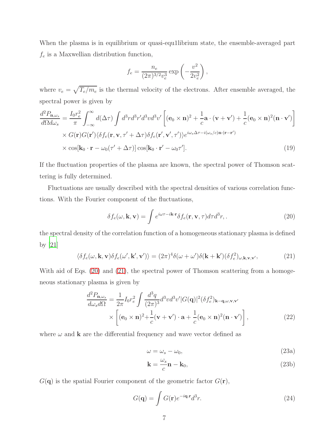When the plasma is in equilibrium or quasi-equ1librium state, the ensemble-averaged part  $f_e$  is a Maxwellian distribution function,

$$
f_e = \frac{n_e}{(2\pi)^{3/2} v_e^3} \exp\left(-\frac{v^2}{2v_e^2}\right),
$$

where  $v_e = \sqrt{T_e/m_e}$  is the thermal velocity of the electrons. After ensemble averaged, the spectral power is given by

$$
\frac{d^2 P_{\mathbf{n},\omega_s}}{d\Omega d\omega_s} = \frac{I_0 r_e^2}{\pi} \int_{-\infty}^{\infty} d(\Delta \tau) \int d^3 r d^3 r' d^3 v d^3 v' \left[ (\mathbf{e}_0 \times \mathbf{n})^2 + \frac{1}{c} \mathbf{a} \cdot (\mathbf{v} + \mathbf{v}') + \frac{1}{c} (\mathbf{e}_0 \times \mathbf{n})^2 (\mathbf{n} \cdot \mathbf{v}') \right] \times G(\mathbf{r}) G(\mathbf{r}') \langle \delta f_e(\mathbf{r}, \mathbf{v}, \tau' + \Delta \tau) \delta f_e(\mathbf{r}', \mathbf{v}', \tau') \rangle e^{i\omega_s \Delta \tau - i(\omega_s/c) \mathbf{n} \cdot (\mathbf{r} - \mathbf{r}')} \times \cos[\mathbf{k}_0 \cdot \mathbf{r} - \omega_0 (\tau' + \Delta \tau)] \cos[\mathbf{k}_0 \cdot \mathbf{r}' - \omega_0 \tau'].
$$
\n(19)

If the fluctuation properties of the plasma are known, the spectral power of Thomson scattering is fully determined.

Fluctuations are usually described with the spectral densities of various correlation functions. With the Fourier component of the fluctuations,

<span id="page-6-0"></span>
$$
\delta f_e(\omega, \mathbf{k}, \mathbf{v}) = \int e^{i\omega \tau - i\mathbf{k} \cdot \mathbf{r}} \delta f_e(\mathbf{r}, \mathbf{v}, \tau) d\tau d^3 r,\tag{20}
$$

the spectral density of the correlation function of a homogeneous stationary plasma is defined by [\[21](#page-14-17)]

<span id="page-6-1"></span>
$$
\langle \delta f_e(\omega, \mathbf{k}, \mathbf{v}) \delta f_e(\omega', \mathbf{k}', \mathbf{v}') \rangle = (2\pi)^4 \delta(\omega + \omega') \delta(\mathbf{k} + \mathbf{k}') (\delta f_e^2)_{\omega, \mathbf{k}, \mathbf{v}, \mathbf{v}'},
$$
(21)

With aid of Eqs. [\(20\)](#page-6-0) and [\(21\)](#page-6-1), the spectral power of Thomson scattering from a homogeneous stationary plasma is given by

$$
\frac{d^2 P_{\mathbf{n},\omega_s}}{d\omega_s d\Omega} = \frac{1}{2\pi} I_0 r_e^2 \int \frac{d^3 q}{(2\pi)^3} d^3 v d^3 v' |G(\mathbf{q})|^2 (\delta f_e^2)_{\mathbf{k} - \mathbf{q},\omega,\mathbf{v},\mathbf{v}'}
$$

$$
\times \left[ (\mathbf{e}_0 \times \mathbf{n})^2 + \frac{1}{c} (\mathbf{v} + \mathbf{v}') \cdot \mathbf{a} + \frac{1}{c} (\mathbf{e}_0 \times \mathbf{n})^2 (\mathbf{n} \cdot \mathbf{v}') \right],
$$
(22)

where  $\omega$  and **k** are the differential frequency and wave vector defined as

<span id="page-6-2"></span>
$$
\omega = \omega_s - \omega_0,\tag{23a}
$$

$$
\mathbf{k} = \frac{\omega_s}{c} \mathbf{n} - \mathbf{k}_0,\tag{23b}
$$

 $G(q)$  is the spatial Fourier component of the geometric factor  $G(\mathbf{r})$ ,

$$
G(\mathbf{q}) = \int G(\mathbf{r})e^{-i\mathbf{q} \cdot \mathbf{r}}d^3r.
$$
 (24)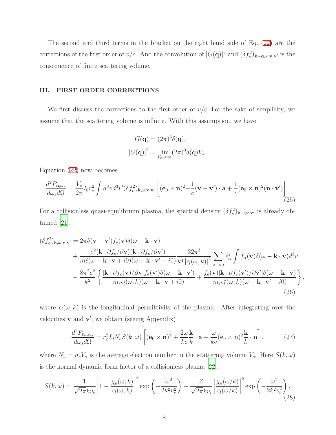The second and third terms in the bracket on the right hand side of Eq. [\(22\)](#page-6-2) are the corrections of the first order of  $v/c$ . And the convolution of  $|G(\mathbf{q})|^2$  and  $(\delta f_e^2)_{\mathbf{k}-\mathbf{q},\omega,\mathbf{v},\mathbf{v}'}$  is the consequence of finite scattering volume.

# III. FIRST ORDER CORRECTIONS

We first discuss the corrections to the first order of  $v/c$ . For the sake of simplicity, we assume that the scattering volume is infinite. With this assumption, we have

<span id="page-7-2"></span>
$$
G(\mathbf{q}) = (2\pi)^3 \delta(\mathbf{q}),
$$
  

$$
|G(\mathbf{q})|^2 = \lim_{V_s \to \infty} (2\pi)^3 \delta(\mathbf{q}) V_s.
$$

Equation [\(22\)](#page-6-2) now becomes

$$
\frac{d^2 P_{\mathbf{n},\omega_s}}{d\omega_s d\Omega} = \frac{V_s}{2\pi} I_0 r_e^2 \int d^3v d^3v' (\delta f_e^2)_{\mathbf{k},\omega,\mathbf{v},\mathbf{v}'} \left[ (\mathbf{e}_0 \times \mathbf{n})^2 + \frac{1}{c} (\mathbf{v} + \mathbf{v}') \cdot \mathbf{a} + \frac{1}{c} (\mathbf{e}_0 \times \mathbf{n})^2 (\mathbf{n} \cdot \mathbf{v}') \right]. \tag{25}
$$

For a collisionless quasi-equilibrium plasma, the spectral density  $(\delta f_e^2)_{\mathbf{k},\omega,\mathbf{v},\mathbf{v}'}$  is already obtained [\[21\]](#page-14-17),

$$
(\delta f_e^2)_{\mathbf{k},\omega,\mathbf{v},\mathbf{v}'} = 2\pi \delta(\mathbf{v} - \mathbf{v}')f_e(\mathbf{v})\delta(\omega - \mathbf{k} \cdot \mathbf{v}) + \frac{e^2(\mathbf{k} \cdot \partial f_e/\partial \mathbf{v})(\mathbf{k} \cdot \partial f_e/\partial \mathbf{v}')}{m_e^2(\omega - \mathbf{k} \cdot \mathbf{v} + i0)(\omega - \mathbf{k} \cdot \mathbf{v}' - i0)} \frac{32\pi^3}{k^4 |\epsilon_l(\omega, k)|^2} \sum_{\alpha = e,i} e_\alpha^2 \int f_\alpha(\mathbf{v})\delta(\omega - \mathbf{k} \cdot \mathbf{v}) d^3v - \frac{8\pi^2 e^2}{k^2} \left\{ \frac{[\mathbf{k} \cdot \partial f_e(\mathbf{v})/\partial \mathbf{v}]f_e(\mathbf{v}')\delta(\omega - \mathbf{k} \cdot \mathbf{v}')}{m_e \epsilon_l(\omega, k)(\omega - \mathbf{k} \cdot \mathbf{v} + i0)} + \frac{f_e(\mathbf{v})[\mathbf{k} \cdot \partial f_e(\mathbf{v}')/\partial \mathbf{v}']\delta(\omega - \mathbf{k} \cdot \mathbf{v})}{m_e \epsilon_l^*(\omega, k)(\omega - \mathbf{k} \cdot \mathbf{v}' - i0)} \right\},
$$
\n(26)

where  $\epsilon_l(\omega, k)$  is the longitudinal permittivity of the plasma. After integrating over the velocities  $\bf{v}$  and  $\bf{v}'$ , we obtain (seeing Appendix)

<span id="page-7-0"></span>
$$
\frac{d^2 P_{\mathbf{n}_s, \omega_s}}{d\omega_s d\Omega} = r_e^2 I_0 N_s S(k, \omega) \left[ (\mathbf{e}_0 \times \mathbf{n})^2 + \frac{2\omega \mathbf{k}}{kc \ k} \cdot \mathbf{a} + \frac{\omega}{kc} (\mathbf{e}_0 \times \mathbf{n})^2 \frac{\mathbf{k}}{k} \cdot \mathbf{n} \right],\tag{27}
$$

where  $N_s = n_e V_s$  is the average electron number in the scattering volume  $V_s$ . Here  $S(k, \omega)$ is the normal dynamic form factor of a collisionless plasma [\[22](#page-15-0)],

<span id="page-7-1"></span>
$$
S(k,\omega) = \frac{1}{\sqrt{2\pi k v_e}} \left| 1 - \frac{\chi_e(\omega, k)}{\epsilon_l(\omega, k)} \right|^2 \exp\left( -\frac{\omega^2}{2k^2 v_e^2} \right) + \frac{Z}{\sqrt{2\pi k v_i}} \left| \frac{\chi_e(\omega/k)}{\epsilon_l(\omega/k)} \right|^2 \exp\left( -\frac{\omega^2}{2k^2 v_i^2} \right),\tag{28}
$$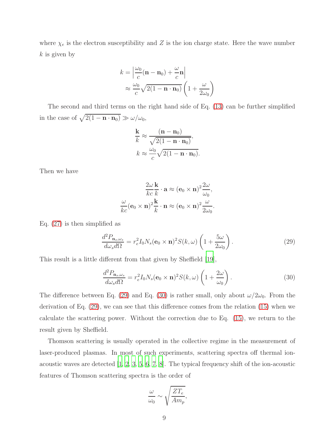where  $\chi_e$  is the electron susceptibility and Z is the ion charge state. Here the wave number  $k$  is given by

$$
k = \left| \frac{\omega_0}{c} (\mathbf{n} - \mathbf{n}_0) + \frac{\omega}{c} \mathbf{n} \right|
$$
  
 
$$
\approx \frac{\omega_0}{c} \sqrt{2(1 - \mathbf{n} \cdot \mathbf{n}_0)} \left( 1 + \frac{\omega}{2\omega_0} \right)
$$

The second and third terms on the right hand side of Eq. [\(13\)](#page-4-3) can be further simplified in the case of  $\sqrt{2(1 - \mathbf{n} \cdot \mathbf{n}_0)} \gg \omega/\omega_0$ ,

$$
\frac{\mathbf{k}}{k} \approx \frac{(\mathbf{n} - \mathbf{n}_0)}{\sqrt{2(1 - \mathbf{n} \cdot \mathbf{n}_0)}},
$$

$$
k \approx \frac{\omega_0}{c} \sqrt{2(1 - \mathbf{n} \cdot \mathbf{n}_0)}.
$$

Then we have

$$
\frac{2\omega}{kc}\frac{\mathbf{k}}{k} \cdot \mathbf{a} \approx (\mathbf{e}_0 \times \mathbf{n})^2 \frac{2\omega}{\omega_0},
$$

$$
\frac{\omega}{kc} (\mathbf{e}_0 \times \mathbf{n})^2 \frac{\mathbf{k}}{k} \cdot \mathbf{n} \approx (\mathbf{e}_0 \times \mathbf{n})^2 \frac{\omega}{2\omega_0}.
$$

Eq. [\(27\)](#page-7-0) is then simplified as

<span id="page-8-0"></span>
$$
\frac{d^2 P_{\mathbf{n}_s, \omega_s}}{d\omega_s d\Omega} = r_e^2 I_0 N_s (\mathbf{e}_0 \times \mathbf{n})^2 S(k, \omega) \left( 1 + \frac{5\omega}{2\omega_0} \right). \tag{29}
$$

This result is a little different from that given by Sheffield [\[19\]](#page-14-15),

<span id="page-8-1"></span>
$$
\frac{d^2 P_{\mathbf{n}_s,\omega_s}}{d\omega_s d\Omega} = r_e^2 I_0 N_s (\mathbf{e}_0 \times \mathbf{n})^2 S(k,\omega) \left(1 + \frac{2\omega}{\omega_0}\right). \tag{30}
$$

The difference between Eq. [\(29\)](#page-8-0) and Eq. [\(30\)](#page-8-1) is rather small, only about  $\omega/2\omega_0$ . From the derivation of Eq. [\(29\)](#page-8-0), we can see that this difference comes from the relation [\(15\)](#page-4-4) when we calculate the scattering power. Without the correction due to Eq. [\(15\)](#page-4-4), we return to the result given by Sheffield.

Thomson scattering is usually operated in the collective regime in the measurement of laser-produced plasmas. In most of such experiments, scattering spectra off thermal ionacoustic waves are detected [\[1](#page-13-0), [2](#page-13-1), [3,](#page-13-2) [5](#page-14-1), [6](#page-14-2), [7,](#page-14-3) [8](#page-14-4)]. The typical frequency shift of the ion-acoustic features of Thomson scattering spectra is the order of

$$
\frac{\omega}{\omega_0} \sim \sqrt{\frac{ZT_e}{Am_p}},
$$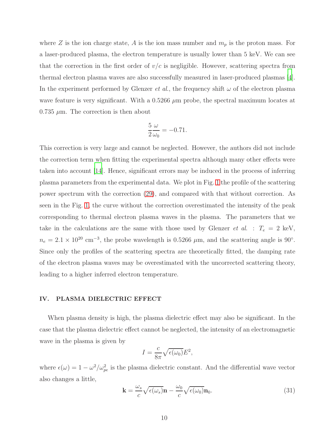where Z is the ion charge state, A is the ion mass number and  $m_p$  is the proton mass. For a laser-produced plasma, the electron temperature is usually lower than 5 keV. We can see that the correction in the first order of  $v/c$  is negligible. However, scattering spectra from thermal electron plasma waves are also successfully measured in laser-produced plasmas [\[4\]](#page-14-0). In the experiment performed by Glenzer *et al.*, the frequency shift  $\omega$  of the electron plasma wave feature is very significant. With a  $0.5266 \mu m$  probe, the spectral maximum locates at  $0.735 \mu m$ . The correction is then about

$$
\frac{5}{2}\frac{\omega}{\omega_0} = -0.71.
$$

This correction is very large and cannot be neglected. However, the authors did not include the correction term when fitting the experimental spectra although many other effects were taken into account [\[14](#page-14-10)]. Hence, significant errors may be induced in the process of inferring plasma parameters from the experimental data. We plot in Fig. [1](#page-10-0) the profile of the scattering power spectrum with the correction [\(29\)](#page-8-0), and compared with that without correction. As seen in the Fig. [1,](#page-10-0) the curve without the correction overestimated the intensity of the peak corresponding to thermal electron plasma waves in the plasma. The parameters that we take in the calculations are the same with those used by Glenzer *et al.* :  $T_e = 2 \text{ keV}$ ,  $n_e = 2.1 \times 10^{20}$  cm<sup>-3</sup>, the probe wavelength is 0.5266  $\mu$ m, and the scattering angle is 90°. Since only the profiles of the scattering spectra are theoretically fitted, the damping rate of the electron plasma waves may be overestimated with the uncorrected scattering theory, leading to a higher inferred electron temperature.

#### IV. PLASMA DIELECTRIC EFFECT

When plasma density is high, the plasma dielectric effect may also be significant. In the case that the plasma dielectric effect cannot be neglected, the intensity of an electromagnetic wave in the plasma is given by

$$
I = \frac{c}{8\pi} \sqrt{\epsilon(\omega_0)} E^2,
$$

where  $\epsilon(\omega) = 1 - \omega^2/\omega_{pe}^2$  is the plasma dielectric constant. And the differential wave vector also changes a little,

$$
\mathbf{k} = \frac{\omega_s}{c} \sqrt{\epsilon(\omega_s)} \mathbf{n} - \frac{\omega_0}{c} \sqrt{\epsilon(\omega_0)} \mathbf{n}_0.
$$
 (31)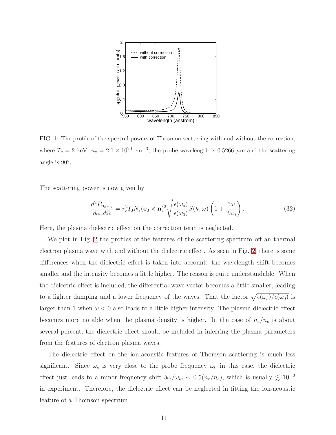

<span id="page-10-0"></span>FIG. 1: The profile of the spectral powers of Thosmon scattering with and without the correction, where  $T_e = 2 \text{ keV}, n_e = 2.1 \times 10^{20} \text{ cm}^{-3}$ , the probe wavelength is 0.5266  $\mu$ m and the scattering angle is  $90^\circ$ .

The scattering power is now given by

$$
\frac{d^2 P_{\mathbf{n}_s, \omega_s}}{d\omega_s d\Omega} = r_e^2 I_0 N_s (\mathbf{e}_0 \times \mathbf{n})^2 \sqrt{\frac{\epsilon(\omega_s)}{\epsilon(\omega_0)}} S(k, \omega) \left(1 + \frac{5\omega}{2\omega_0}\right). \tag{32}
$$

Here, the plasma dielectric effect on the correction term is neglected.

We plot in Fig. [2](#page-11-0) the profiles of the features of the scattering spectrum off an thermal electron plasma wave with and without the dielectric effect. As seen in Fig. [2,](#page-11-0) there is some differences when the dielectric effect is taken into account: the wavelength shift becomes smaller and the intensity becomes a little higher. The reason is quite understandable. When the dielectric effect is included, the differential wave vector becomes a little smaller, leading to a lighter damping and a lower frequency of the waves. That the factor  $\sqrt{\epsilon(\omega_s)/\epsilon(\omega_0)}$  is larger than 1 when  $\omega < 0$  also leads to a little higher intensity. The plasma dielectric effect becomes more notable when the plasma density is higher. In the case of  $n_e/n_c$  is about several percent, the dielectric effect should be included in inferring the plasma parameters from the features of electron plasma waves.

The dielectric effect on the ion-acoustic features of Thomson scattering is much less significant. Since  $\omega_s$  is very close to the probe frequency  $\omega_0$  in this case, the dielectric effect just leads to a minor frequency shift  $\delta\omega/\omega_{ia} \sim 0.5(n_e/n_c)$ , which is usually  $\lesssim 10^{-2}$ in experiment. Therefore, the dielectric effect can be neglected in fitting the ion-acoustic feature of a Thomson spectrum.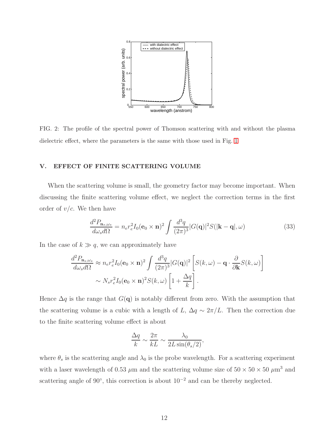

<span id="page-11-0"></span>FIG. 2: The profile of the spectral power of Thomson scattering with and without the plasma dielectric effect, where the parameters is the same with those used in Fig. [1](#page-10-0)

## V. EFFECT OF FINITE SCATTERING VOLUME

When the scattering volume is small, the geometry factor may become important. When discussing the finite scattering volume effect, we neglect the correction terms in the first order of  $v/c$ . We then have

$$
\frac{d^2 P_{\mathbf{n}_s, \omega_s}}{d\omega_s d\Omega} = n_e r_e^2 I_0 (\mathbf{e}_0 \times \mathbf{n})^2 \int \frac{d^3 q}{(2\pi)^3} |G(\mathbf{q})|^2 S(|\mathbf{k} - \mathbf{q}|, \omega)
$$
(33)

In the case of  $k \gg q$ , we can approximately have

$$
\frac{d^2 P_{\mathbf{n}_s, \omega_s}}{d\omega_s d\Omega} \approx n_e r_e^2 I_0(\mathbf{e}_0 \times \mathbf{n})^2 \int \frac{d^3 q}{(2\pi)^3} |G(\mathbf{q})|^2 \left[ S(k, \omega) - \mathbf{q} \cdot \frac{\partial}{\partial \mathbf{k}} S(k, \omega) \right]
$$

$$
\sim N_s r_e^2 I_0(\mathbf{e}_0 \times \mathbf{n})^2 S(k, \omega) \left[ 1 + \frac{\Delta q}{k} \right].
$$

Hence  $\Delta q$  is the range that  $G(\mathbf{q})$  is notably different from zero. With the assumption that the scattering volume is a cubic with a length of L,  $\Delta q \sim 2\pi/L$ . Then the correction due to the finite scattering volume effect is about

$$
\frac{\Delta q}{k} \sim \frac{2\pi}{kL} \sim \frac{\lambda_0}{2L\sin(\theta_s/2)},
$$

where  $\theta_s$  is the scattering angle and  $\lambda_0$  is the probe wavelength. For a scattering experiment with a laser wavelength of 0.53  $\mu$ m and the scattering volume size of  $50 \times 50 \times 50 \ \mu \text{m}^3$  and scattering angle of 90 $^{\circ}$ , this correction is about  $10^{-2}$  and can be thereby neglected.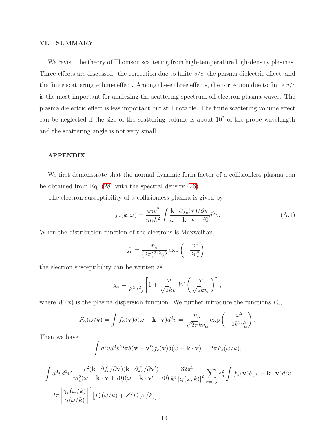## VI. SUMMARY

We revisit the theory of Thomson scattering from high-temperature high-density plasmas. Three effects are discussed: the correction due to finite  $v/c$ , the plasma dielectric effect, and the finite scattering volume effect. Among these three effects, the correction due to finite  $v/c$ is the most important for analyzing the scattering spectrum off electron plasma waves. The plasma dielectric effect is less important but still notable. The finite scattering volume effect can be neglected if the size of the scattering volume is about  $10^2$  of the probe wavelength and the scattering angle is not very small.

## APPENDIX

We first demonstrate that the normal dynamic form factor of a collisionless plasma can be obtained from Eq. [\(28\)](#page-7-1) with the spectral density [\(26\)](#page-7-2).

The electron susceptibility of a collisionless plasma is given by

$$
\chi_e(k,\omega) = \frac{4\pi e^2}{m_e k^2} \int \frac{\mathbf{k} \cdot \partial f_e(\mathbf{v}) / \partial \mathbf{v}}{\omega - \mathbf{k} \cdot \mathbf{v} + i0} d^3 v.
$$
 (A.1)

When the distribution function of the electrons is Maxwellian,

$$
f_e = \frac{n_e}{(2\pi)^{3/2}v_e^3} \exp\left(-\frac{v^2}{2v_e^2}\right),
$$

the electron susceptibility can be written as

$$
\chi_e = \frac{1}{k^2 \lambda_D^2} \left[ 1 + \frac{\omega}{\sqrt{2} k v_e} W \left( \frac{\omega}{\sqrt{2} k v_e} \right) \right],
$$

where  $W(x)$  is the plasma dispersion function. We further introduce the functions  $F_{\alpha}$ ,

$$
F_{\alpha}(\omega/k) = \int f_{\alpha}(\mathbf{v}) \delta(\omega - \mathbf{k} \cdot \mathbf{v}) d^{3}v = \frac{n_{\alpha}}{\sqrt{2\pi}kv_{\alpha}} \exp\left(-\frac{\omega^{2}}{2k^{2}v_{\alpha}^{2}}\right).
$$

Then we have

$$
\int d^3v d^3v' 2\pi \delta(\mathbf{v} - \mathbf{v}') f_e(\mathbf{v}) \delta(\omega - \mathbf{k} \cdot \mathbf{v}) = 2\pi F_e(\omega/k),
$$

$$
\int d^3v d^3v' \frac{e^2(\mathbf{k} \cdot \partial f_e/\partial \mathbf{v})(\mathbf{k} \cdot \partial f_e/\partial \mathbf{v}')}{m_e^2(\omega - \mathbf{k} \cdot \mathbf{v} + i0)(\omega - \mathbf{k} \cdot \mathbf{v}' - i0)} \frac{32\pi^3}{k^4 |\epsilon_l(\omega, k)|^2} \sum_{\alpha = e, i} e_{\alpha}^2 \int f_{\alpha}(\mathbf{v}) \delta(\omega - \mathbf{k} \cdot \mathbf{v}) d^3v
$$
  
= 
$$
2\pi \left| \frac{\chi_e(\omega/k)}{\epsilon_l(\omega/k)} \right|^2 \left[ F_e(\omega/k) + Z^2 F_i(\omega/k) \right],
$$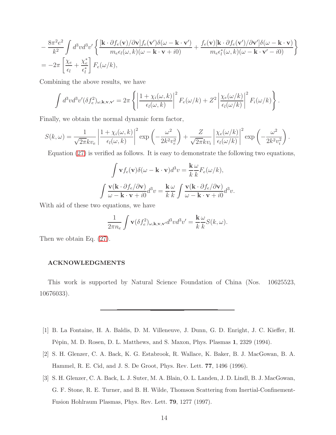$$
-\frac{8\pi^2 e^2}{k^2} \int d^3v d^3v' \left\{ \frac{[\mathbf{k} \cdot \partial f_e(\mathbf{v})/\partial \mathbf{v}] f_e(\mathbf{v}') \delta(\omega - \mathbf{k} \cdot \mathbf{v}']}{m_e \epsilon_l(\omega, k)(\omega - \mathbf{k} \cdot \mathbf{v} + i0)} + \frac{f_e(\mathbf{v})[\mathbf{k} \cdot \partial f_e(\mathbf{v}')/\partial \mathbf{v}'] \delta(\omega - \mathbf{k} \cdot \mathbf{v})}{m_e \epsilon_l^*(\omega, k)(\omega - \mathbf{k} \cdot \mathbf{v}' - i0)} \right\}
$$
  
= 
$$
-2\pi \left[ \frac{\chi_e}{\epsilon_l} + \frac{\chi_e^*}{\epsilon_l^*} \right] F_e(\omega/k),
$$

Combining the above results, we have

$$
\int d^3v d^3v' (\delta f_e^2)_{\omega,\mathbf{k},\mathbf{v},\mathbf{v}'} = 2\pi \left\{ \left| \frac{1 + \chi_i(\omega, k)}{\epsilon_l(\omega, k)} \right|^2 F_e(\omega/k) + Z^2 \left| \frac{\chi_e(\omega/k)}{\epsilon_l(\omega/k)} \right|^2 F_i(\omega/k) \right\}.
$$

Finally, we obtain the normal dynamic form factor,

$$
S(k,\omega) = \frac{1}{\sqrt{2\pi}kv_e} \left| \frac{1 + \chi_i(\omega, k)}{\epsilon_l(\omega, k)} \right|^2 \exp\left(-\frac{\omega^2}{2k^2v_e^2}\right) + \frac{Z}{\sqrt{2\pi}kv_i} \left| \frac{\chi_e(\omega/k)}{\epsilon_l(\omega/k)} \right|^2 \exp\left(-\frac{\omega^2}{2k^2v_i^2}\right).
$$

Equation [\(27\)](#page-7-0) is verified as follows. It is easy to demonstrate the following two equations,

$$
\int \mathbf{v} f_e(\mathbf{v}) \delta(\omega - \mathbf{k} \cdot \mathbf{v}) d^3 v = \frac{\mathbf{k}}{k} \frac{\omega}{k} F_e(\omega/k),
$$

$$
\int \frac{\mathbf{v}(\mathbf{k} \cdot \partial f_e/\partial \mathbf{v})}{\omega - \mathbf{k} \cdot \mathbf{v} + i0} d^3 v = \frac{\mathbf{k}}{k} \frac{\omega}{k} \int \frac{\mathbf{v}(\mathbf{k} \cdot \partial f_e/\partial \mathbf{v})}{\omega - \mathbf{k} \cdot \mathbf{v} + i0} d^3 v.
$$

With aid of these two equations, we have

$$
\frac{1}{2\pi n_e} \int \mathbf{v} (\delta f_e^2)_{\omega,\mathbf{k},\mathbf{v},\mathbf{v}'} d^3 v d^3 v' = \frac{\mathbf{k}}{k} \frac{\omega}{k} S(k,\omega).
$$

Then we obtain Eq. [\(27\)](#page-7-0).

# ACKNOWLEDGMENTS

This work is supported by Natural Science Foundation of China (Nos. 10625523, 10676033).

- <span id="page-13-0"></span>[1] B. La Fontaine, H. A. Baldis, D. M. Villeneuve, J. Dunn, G. D. Enright, J. C. Kieffer, H. Pėpin, M. D. Rosen, D. L. Matthews, and S. Maxon, Phys. Plasmas 1, 2329 (1994).
- <span id="page-13-1"></span>[2] S. H. Glenzer, C. A. Back, K. G. Estabrook, R. Wallace, K. Baker, B. J. MacGowan, B. A. Hammel, R. E. Cid, and J. S. De Groot, Phys. Rev. Lett. 77, 1496 (1996).
- <span id="page-13-2"></span>[3] S. H. Glenzer, C. A. Back, L. J. Suter, M. A. Blain, O. L. Landen, J. D. Lindl, B. J. MacGowan, G. F. Stone, R. E. Turner, and B. H. Wilde, Thomson Scattering from Inertial-Confinement-Fusion Hohlraum Plasmas, Phys. Rev. Lett. 79, 1277 (1997).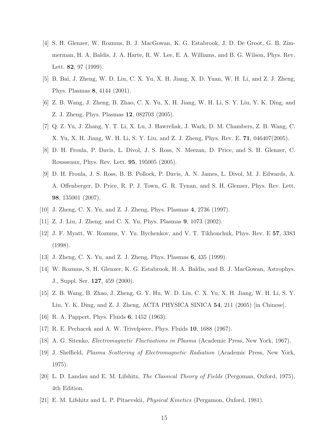- <span id="page-14-0"></span>[4] S. H. Glenzer, W. Rozmus, B. J. MacGowan, K. G. Estabrook, J. D. De Groot, G. B. Zimmerman, H. A. Baldis, J. A. Harte, R. W. Lee, E. A. Williams, and B. G. Wilson, Phys. Rev. Lett. 82, 97 (1999).
- <span id="page-14-1"></span>[5] B. Bai, J. Zheng, W. D. Liu, C. X. Yu, X. H. Jiang, X. D. Yuan, W. H. Li, and Z. J. Zheng, Phys. Plasmas 8, 4144 (2001).
- <span id="page-14-2"></span>[6] Z. B. Wang, J. Zheng, B. Zhao, C. X. Yu, X. H. Jiang, W. H. Li, S. Y. Liu, Y. K. Ding, and Z. J. Zheng, Phys. Plasmas 12, 082703 (2005).
- <span id="page-14-3"></span>[7] Q. Z. Yu, J. Zhang, Y. T. Li, X. Lu, J. Hawreliak, J. Wark, D. M. Chambers, Z. B. Wang, C. X. Yu, X. H. Jiang, W. H. Li, S. Y. Liu, and Z. J. Zheng, Phys. Rev. E. 71, 046407(2005).
- <span id="page-14-4"></span>[8] D. H. Froula, P. Davis, L. Divol, J. S. Ross, N. Meezan, D. Price, and S. H. Glenzer, C. Rousseaux, Phys. Rev. Lett. 95, 195005 (2005).
- <span id="page-14-5"></span>[9] D. H. Froula, J. S. Ross, B. B. Pollock, P. Davis, A. N. James, L. Divol, M. J. Edwards, A. A. Offenberger, D. Price, R. P. J. Town, G. R. Tynan, and S. H. Glenzer, Phys. Rev. Lett. 98, 135001 (2007).
- <span id="page-14-7"></span><span id="page-14-6"></span>[10] J. Zheng, C. X. Yu, and Z. J. Zheng, Phys. Plasmas 4, 2736 (1997).
- <span id="page-14-8"></span>[11] Z. J. Liu, J. Zheng, and C. X. Yu, Phys. Plasmas 9, 1073 (2002).
- [12] J. F. Myatt, W. Rozmus, V. Yu. Bychenkov, and V. T. Tikhonchuk, Phys. Rev. E 57, 3383 (1998).
- <span id="page-14-9"></span>[13] J. Zheng, C. X. Yu, and Z. J. Zheng, Phys. Plasmas 6, 435 (1999).
- <span id="page-14-10"></span>[14] W. Rozmus, S. H. Glenzer, K. G. Estabrook, H. A. Baldis, and B. J. MacGowan, Astrophys. J., Suppl. Ser. 127, 459 (2000).
- <span id="page-14-11"></span>[15] Z. B. Wang, B. Zhao, J. Zheng, G. Y. Hu, W. D. Liu, C. X. Yu, X. H. Jiang, W. H. Li, S. Y. Liu, Y. K. Ding, and Z. J. Zheng, ACTA PHYSICA SINICA 54, 211 (2005) [in Chinese].
- <span id="page-14-12"></span>[16] R. A. Pappert, Phys. Fluids **6**, 1452 (1963).
- <span id="page-14-13"></span>[17] R. E. Pechacek and A. W. Trivelpiece, Phys. Fluids 10, 1688 (1967).
- <span id="page-14-14"></span>[18] A. G. Sitenko, Electromagnetic Fluctuations in Plasma (Academic Press, New York, 1967).
- <span id="page-14-15"></span>[19] J. Sheffield, Plasma Scattering of Electromagnetic Radiation (Academic Press, New York, 1975).
- <span id="page-14-16"></span>[20] L. D. Landau and E. M. Lifshitz, The Classical Theory of Fields (Pergoman, Oxford, 1975), 4th Edition.
- <span id="page-14-17"></span>[21] E. M. Lifshitz and L. P. Pitaevskii, Physical Kinetics (Pergamon, Oxford, 1981).